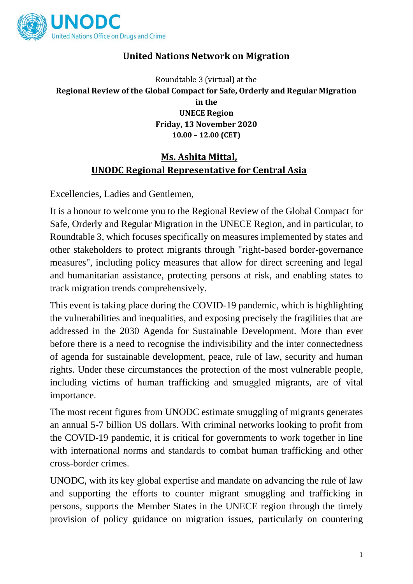

# **United Nations Network on Migration**

Roundtable 3 (virtual) at the **Regional Review of the Global Compact for Safe, Orderly and Regular Migration in the UNECE Region Friday, 13 November 2020 10.00 – 12.00 (CET)**

## **Ms. Ashita Mittal, UNODC Regional Representative for Central Asia**

Excellencies, Ladies and Gentlemen,

It is a honour to welcome you to the Regional Review of the Global Compact for Safe, Orderly and Regular Migration in the UNECE Region, and in particular, to Roundtable 3, which focuses specifically on measures implemented by states and other stakeholders to protect migrants through "right-based border-governance measures", including policy measures that allow for direct screening and legal and humanitarian assistance, protecting persons at risk, and enabling states to track migration trends comprehensively.

This event is taking place during the COVID-19 pandemic, which is highlighting the vulnerabilities and inequalities, and exposing precisely the fragilities that are addressed in the 2030 Agenda for Sustainable Development. More than ever before there is a need to recognise the indivisibility and the inter connectedness of agenda for sustainable development, peace, rule of law, security and human rights. Under these circumstances the protection of the most vulnerable people, including victims of human trafficking and smuggled migrants, are of vital importance.

The most recent figures from UNODC estimate smuggling of migrants generates an annual 5-7 billion US dollars. With criminal networks looking to profit from the COVID-19 pandemic, it is critical for governments to work together in line with international norms and standards to combat human trafficking and other cross-border crimes.

UNODC, with its key global expertise and mandate on advancing the rule of law and supporting the efforts to counter migrant smuggling and trafficking in persons, supports the Member States in the UNECE region through the timely provision of policy guidance on migration issues, particularly on countering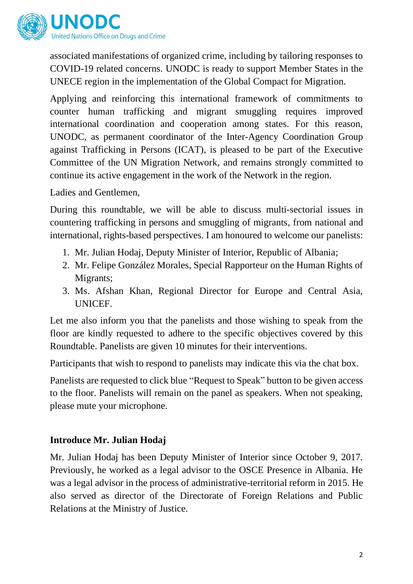

associated manifestations of organized crime, including by tailoring responses to COVID-19 related concerns. UNODC is ready to support Member States in the UNECE region in the implementation of the Global Compact for Migration.

Applying and reinforcing this international framework of commitments to counter human trafficking and migrant smuggling requires improved international coordination and cooperation among states. For this reason, UNODC, as permanent coordinator of the Inter-Agency Coordination Group against Trafficking in Persons (ICAT), is pleased to be part of the Executive Committee of the UN Migration Network, and remains strongly committed to continue its active engagement in the work of the Network in the region.

#### Ladies and Gentlemen,

During this roundtable, we will be able to discuss multi-sectorial issues in countering trafficking in persons and smuggling of migrants, from national and international, rights-based perspectives. I am honoured to welcome our panelists:

- 1. Mr. Julian Hodaj, Deputy Minister of Interior, Republic of Albania;
- 2. Mr. Felipe González Morales, Special Rapporteur on the Human Rights of Migrants;
- 3. Ms. Afshan Khan, Regional Director for Europe and Central Asia, UNICEF.

Let me also inform you that the panelists and those wishing to speak from the floor are kindly requested to adhere to the specific objectives covered by this Roundtable. Panelists are given 10 minutes for their interventions.

Participants that wish to respond to panelists may indicate this via the chat box.

Panelists are requested to click blue "Request to Speak" button to be given access to the floor. Panelists will remain on the panel as speakers. When not speaking, please mute your microphone.

#### **Introduce Mr. Julian Hodaj**

Mr. Julian Hodaj has been Deputy Minister of Interior since October 9, 2017. Previously, he worked as a legal advisor to the OSCE Presence in Albania. He was a legal advisor in the process of administrative-territorial reform in 2015. He also served as director of the Directorate of Foreign Relations and Public Relations at the Ministry of Justice.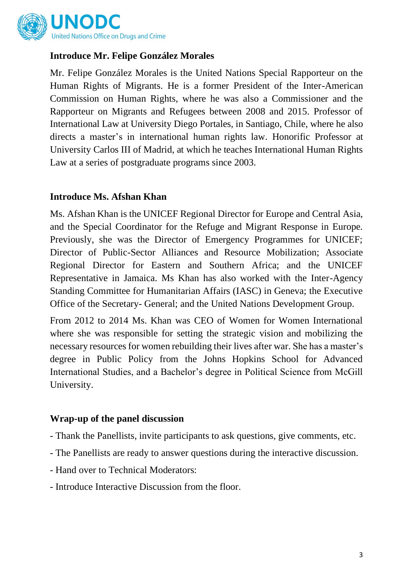

### **Introduce Mr. Felipe González Morales**

Mr. Felipe González Morales is the United Nations Special Rapporteur on the Human Rights of Migrants. He is a former President of the Inter-American Commission on Human Rights, where he was also a Commissioner and the Rapporteur on Migrants and Refugees between 2008 and 2015. Professor of International Law at University Diego Portales, in Santiago, Chile, where he also directs a master's in international human rights law. Honorific Professor at University Carlos III of Madrid, at which he teaches International Human Rights Law at a series of postgraduate programs since 2003.

#### **Introduce Ms. Afshan Khan**

Ms. Afshan Khan is the UNICEF Regional Director for Europe and Central Asia, and the Special Coordinator for the Refuge and Migrant Response in Europe. Previously, she was the Director of Emergency Programmes for UNICEF; Director of Public-Sector Alliances and Resource Mobilization; Associate Regional Director for Eastern and Southern Africa; and the UNICEF Representative in Jamaica. Ms Khan has also worked with the Inter-Agency Standing Committee for Humanitarian Affairs (IASC) in Geneva; the Executive Office of the Secretary- General; and the United Nations Development Group.

From 2012 to 2014 Ms. Khan was CEO of Women for Women International where she was responsible for setting the strategic vision and mobilizing the necessary resources for women rebuilding their lives after war. She has a master's degree in Public Policy from the Johns Hopkins School for Advanced International Studies, and a Bachelor's degree in Political Science from McGill University.

#### **Wrap-up of the panel discussion**

- Thank the Panellists, invite participants to ask questions, give comments, etc.
- The Panellists are ready to answer questions during the interactive discussion.
- Hand over to Technical Moderators:
- Introduce Interactive Discussion from the floor.